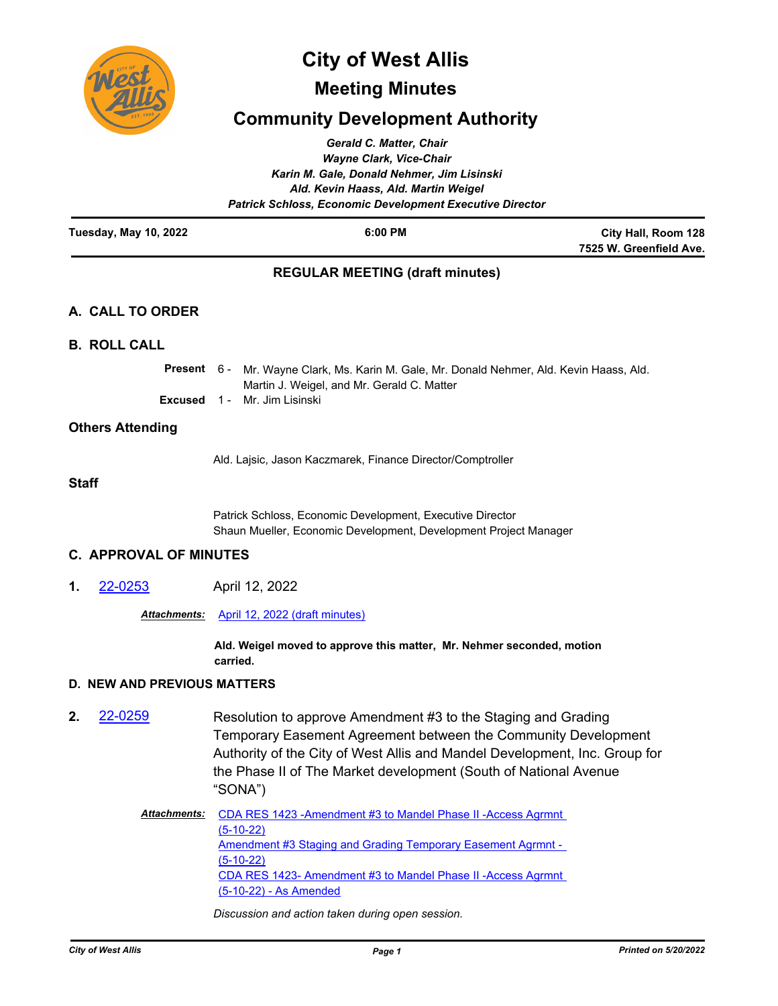

# **City of West Allis**

## **Meeting Minutes**

## **Community Development Authority**

| Gerald C. Matter, Chair<br><b>Wayne Clark, Vice-Chair</b><br>Karin M. Gale, Donald Nehmer, Jim Lisinski<br>Ald. Kevin Haass, Ald. Martin Weigel<br><b>Patrick Schloss, Economic Development Executive Director</b> |                                                |                                                                                                                                                                                                                                                                                              |                                                |
|--------------------------------------------------------------------------------------------------------------------------------------------------------------------------------------------------------------------|------------------------------------------------|----------------------------------------------------------------------------------------------------------------------------------------------------------------------------------------------------------------------------------------------------------------------------------------------|------------------------------------------------|
| <b>Tuesday, May 10, 2022</b>                                                                                                                                                                                       |                                                | 6:00 PM                                                                                                                                                                                                                                                                                      | City Hall, Room 128<br>7525 W. Greenfield Ave. |
|                                                                                                                                                                                                                    |                                                | <b>REGULAR MEETING (draft minutes)</b>                                                                                                                                                                                                                                                       |                                                |
|                                                                                                                                                                                                                    | A. CALL TO ORDER                               |                                                                                                                                                                                                                                                                                              |                                                |
|                                                                                                                                                                                                                    | <b>B. ROLL CALL</b>                            |                                                                                                                                                                                                                                                                                              |                                                |
|                                                                                                                                                                                                                    | Present 6 -<br><b>Excused</b>                  | Mr. Wayne Clark, Ms. Karin M. Gale, Mr. Donald Nehmer, Ald. Kevin Haass, Ald.<br>Martin J. Weigel, and Mr. Gerald C. Matter<br>Mr. Jim Lisinski<br>$1 -$                                                                                                                                     |                                                |
|                                                                                                                                                                                                                    | <b>Others Attending</b>                        |                                                                                                                                                                                                                                                                                              |                                                |
|                                                                                                                                                                                                                    |                                                | Ald. Lajsic, Jason Kaczmarek, Finance Director/Comptroller                                                                                                                                                                                                                                   |                                                |
| <b>Staff</b>                                                                                                                                                                                                       |                                                |                                                                                                                                                                                                                                                                                              |                                                |
|                                                                                                                                                                                                                    |                                                | Patrick Schloss, Economic Development, Executive Director<br>Shaun Mueller, Economic Development, Development Project Manager                                                                                                                                                                |                                                |
|                                                                                                                                                                                                                    | <b>C. APPROVAL OF MINUTES</b>                  |                                                                                                                                                                                                                                                                                              |                                                |
| 1.                                                                                                                                                                                                                 | 22-0253                                        | April 12, 2022                                                                                                                                                                                                                                                                               |                                                |
|                                                                                                                                                                                                                    | April 12, 2022 (draft minutes)<br>Attachments: |                                                                                                                                                                                                                                                                                              |                                                |
|                                                                                                                                                                                                                    |                                                | Ald. Weigel moved to approve this matter, Mr. Nehmer seconded, motion<br>carried.                                                                                                                                                                                                            |                                                |
|                                                                                                                                                                                                                    | <b>D. NEW AND PREVIOUS MATTERS</b>             |                                                                                                                                                                                                                                                                                              |                                                |
| 2.                                                                                                                                                                                                                 | 22-0259                                        | Resolution to approve Amendment #3 to the Staging and Grading<br>Temporary Easement Agreement between the Community Development<br>Authority of the City of West Allis and Mandel Development, Inc. Group for<br>the Phase II of The Market development (South of National Avenue<br>"SONA") |                                                |
|                                                                                                                                                                                                                    | <u> Attachments:</u>                           | CDA RES 1423 - Amendment #3 to Mandel Phase II - Access Agrmnt<br>$(5-10-22)$<br>Amendment #3 Staging and Grading Temporary Easement Agrmnt -<br><u>(5-10-22)</u><br>CDA RES 1423- Amendment #3 to Mandel Phase II - Access Agrmnt<br>(5-10-22) - As Amended                                 |                                                |

*Discussion and action taken during open session.*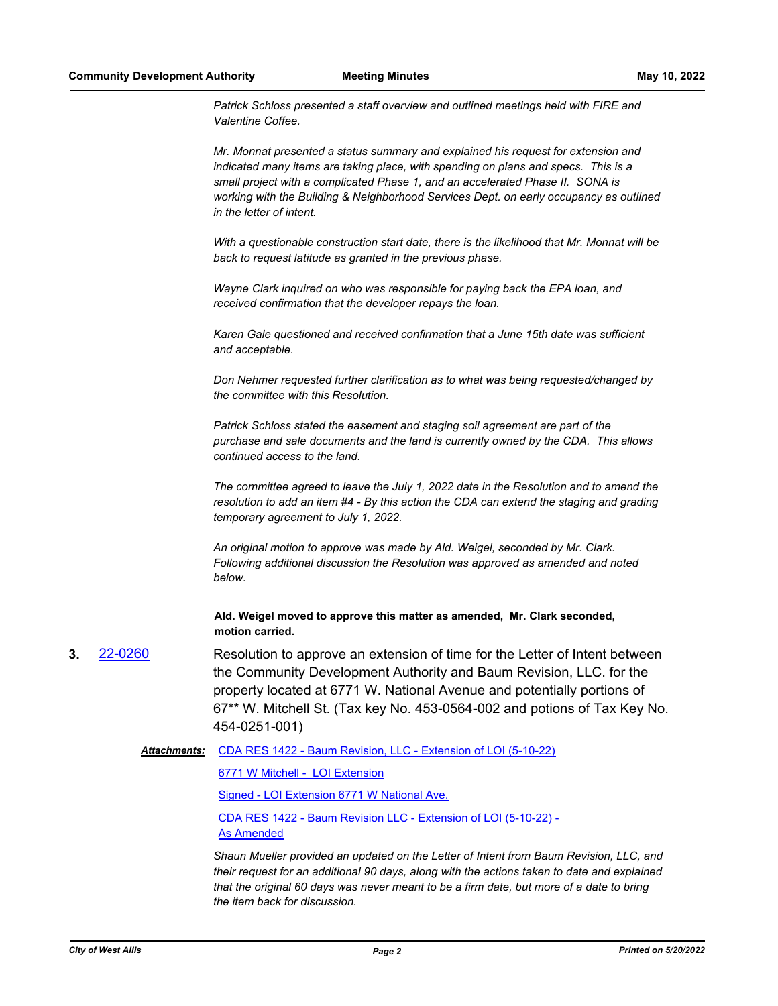*Patrick Schloss presented a staff overview and outlined meetings held with FIRE and Valentine Coffee.*

*Mr. Monnat presented a status summary and explained his request for extension and indicated many items are taking place, with spending on plans and specs. This is a small project with a complicated Phase 1, and an accelerated Phase II. SONA is working with the Building & Neighborhood Services Dept. on early occupancy as outlined in the letter of intent.*

*With a questionable construction start date, there is the likelihood that Mr. Monnat will be back to request latitude as granted in the previous phase.*

*Wayne Clark inquired on who was responsible for paying back the EPA loan, and received confirmation that the developer repays the loan.*

*Karen Gale questioned and received confirmation that a June 15th date was sufficient and acceptable.*

*Don Nehmer requested further clarification as to what was being requested/changed by the committee with this Resolution.*

*Patrick Schloss stated the easement and staging soil agreement are part of the purchase and sale documents and the land is currently owned by the CDA. This allows continued access to the land.*

*The committee agreed to leave the July 1, 2022 date in the Resolution and to amend the resolution to add an item #4 - By this action the CDA can extend the staging and grading temporary agreement to July 1, 2022.*

*An original motion to approve was made by Ald. Weigel, seconded by Mr. Clark. Following additional discussion the Resolution was approved as amended and noted below.*

**Ald. Weigel moved to approve this matter as amended, Mr. Clark seconded, motion carried.**

**3.** [22-0260](http://westalliswi.legistar.com/gateway.aspx?m=l&id=/matter.aspx?key=28811) Resolution to approve an extension of time for the Letter of Intent between the Community Development Authority and Baum Revision, LLC. for the property located at 6771 W. National Avenue and potentially portions of 67\*\* W. Mitchell St. (Tax key No. 453-0564-002 and potions of Tax Key No. 454-0251-001)

Attachments: [CDA RES 1422 - Baum Revision, LLC - Extension of LOI \(5-10-22\)](http://westalliswi.legistar.com/gateway.aspx?M=F&ID=a465c95e-7ef8-4aa6-910e-706f40e90cba.pdf)

[6771 W Mitchell - LOI Extension](http://westalliswi.legistar.com/gateway.aspx?M=F&ID=edf41ae4-d34f-47fa-b66f-4e3e024ae0c9.pdf)

[Signed - LOI Extension 6771 W National Ave.](http://westalliswi.legistar.com/gateway.aspx?M=F&ID=30aa2631-f003-4c20-999c-c71f8f65b91e.pdf)

[CDA RES 1422 - Baum Revision LLC - Extension of LOI \(5-10-22\) -](http://westalliswi.legistar.com/gateway.aspx?M=F&ID=945abb0a-3333-4a3f-a893-a3d4e86d6e65.pdf)  As Amended

*Shaun Mueller provided an updated on the Letter of Intent from Baum Revision, LLC, and their request for an additional 90 days, along with the actions taken to date and explained that the original 60 days was never meant to be a firm date, but more of a date to bring the item back for discussion.*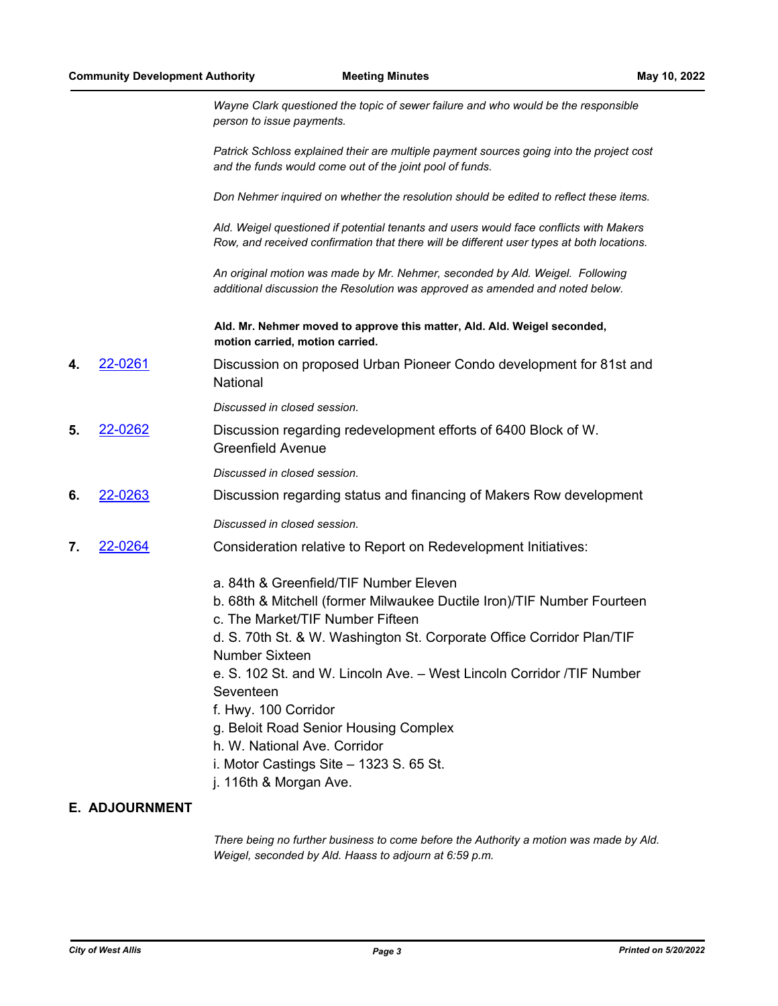*Wayne Clark questioned the topic of sewer failure and who would be the responsible person to issue payments.*

*Patrick Schloss explained their are multiple payment sources going into the project cost and the funds would come out of the joint pool of funds.*

*Don Nehmer inquired on whether the resolution should be edited to reflect these items.*

*Ald. Weigel questioned if potential tenants and users would face conflicts with Makers Row, and received confirmation that there will be different user types at both locations.*

*An original motion was made by Mr. Nehmer, seconded by Ald. Weigel. Following additional discussion the Resolution was approved as amended and noted below.*

**Ald. Mr. Nehmer moved to approve this matter, Ald. Ald. Weigel seconded, motion carried, motion carried.**

**4.** [22-0261](http://westalliswi.legistar.com/gateway.aspx?m=l&id=/matter.aspx?key=28812) Discussion on proposed Urban Pioneer Condo development for 81st and National

*Discussed in closed session.*

**5.** [22-0262](http://westalliswi.legistar.com/gateway.aspx?m=l&id=/matter.aspx?key=28813) Discussion regarding redevelopment efforts of 6400 Block of W. Greenfield Avenue

*Discussed in closed session.*

**6.** [22-0263](http://westalliswi.legistar.com/gateway.aspx?m=l&id=/matter.aspx?key=28814) Discussion regarding status and financing of Makers Row development

*Discussed in closed session.*

- **7.** [22-0264](http://westalliswi.legistar.com/gateway.aspx?m=l&id=/matter.aspx?key=28815) Consideration relative to Report on Redevelopment Initiatives:
	- a. 84th & Greenfield/TIF Number Eleven
	- b. 68th & Mitchell (former Milwaukee Ductile Iron)/TIF Number Fourteen
	- c. The Market/TIF Number Fifteen
	- d. S. 70th St. & W. Washington St. Corporate Office Corridor Plan/TIF Number Sixteen

e. S. 102 St. and W. Lincoln Ave. – West Lincoln Corridor /TIF Number Seventeen

- f. Hwy. 100 Corridor
- g. Beloit Road Senior Housing Complex
- h. W. National Ave. Corridor
- i. Motor Castings Site 1323 S. 65 St.
- j. 116th & Morgan Ave.

## **E. ADJOURNMENT**

*There being no further business to come before the Authority a motion was made by Ald. Weigel, seconded by Ald. Haass to adjourn at 6:59 p.m.*